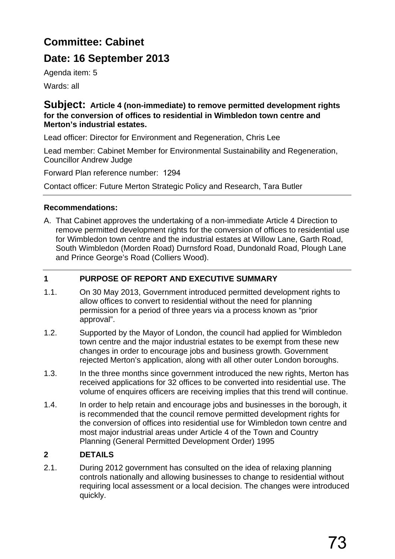# **Committee: Cabinet**

## **Date: 16 September 2013**

Agenda item: 5

Wards: all

#### **Subject: Article 4 (non-immediate) to remove permitted development rights for the conversion of offices to residential in Wimbledon town centre and Merton's industrial estates.**

Lead officer: Director for Environment and Regeneration, Chris Lee

Lead member: Cabinet Member for Environmental Sustainability and Regeneration, Councillor Andrew Judge

Forward Plan reference number: 1294

Contact officer: Future Merton Strategic Policy and Research, Tara Butler

## **Recommendations:**

A. That Cabinet approves the undertaking of a non-immediate Article 4 Direction to remove permitted development rights for the conversion of offices to residential use for Wimbledon town centre and the industrial estates at Willow Lane, Garth Road, South Wimbledon (Morden Road) Durnsford Road, Dundonald Road, Plough Lane and Prince George's Road (Colliers Wood).

## **1 PURPOSE OF REPORT AND EXECUTIVE SUMMARY**

- 1.1. On 30 May 2013, Government introduced permitted development rights to allow offices to convert to residential without the need for planning permission for a period of three years via a process known as "prior approval".
- 1.2. Supported by the Mayor of London, the council had applied for Wimbledon town centre and the major industrial estates to be exempt from these new changes in order to encourage jobs and business growth. Government rejected Merton's application, along with all other outer London boroughs.
- 1.3. In the three months since government introduced the new rights, Merton has received applications for 32 offices to be converted into residential use. The volume of enquires officers are receiving implies that this trend will continue.
- 1.4. In order to help retain and encourage jobs and businesses in the borough, it is recommended that the council remove permitted development rights for the conversion of offices into residential use for Wimbledon town centre and most major industrial areas under Article 4 of the Town and Country Planning (General Permitted Development Order) 1995

## **2 DETAILS**

2.1. During 2012 government has consulted on the idea of relaxing planning controls nationally and allowing businesses to change to residential without requiring local assessment or a local decision. The changes were introduced quickly.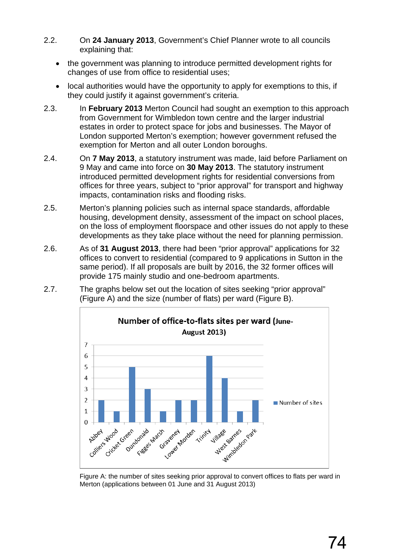- 2.2. On **24 January 2013**, Government's Chief Planner wrote to all councils explaining that:
	- the government was planning to introduce permitted development rights for changes of use from office to residential uses;
	- local authorities would have the opportunity to apply for exemptions to this, if they could justify it against government's criteria.
- 2.3. In **February 2013** Merton Council had sought an exemption to this approach from Government for Wimbledon town centre and the larger industrial estates in order to protect space for jobs and businesses. The Mayor of London supported Merton's exemption; however government refused the exemption for Merton and all outer London boroughs.
- 2.4. On **7 May 2013**, a statutory instrument was made, laid before Parliament on 9 May and came into force on **30 May 2013**. The statutory instrument introduced permitted development rights for residential conversions from offices for three years, subject to "prior approval" for transport and highway impacts, contamination risks and flooding risks.
- 2.5. Merton's planning policies such as internal space standards, affordable housing, development density, assessment of the impact on school places, on the loss of employment floorspace and other issues do not apply to these developments as they take place without the need for planning permission.
- 2.6. As of **31 August 2013**, there had been "prior approval" applications for 32 offices to convert to residential (compared to 9 applications in Sutton in the same period). If all proposals are built by 2016, the 32 former offices will provide 175 mainly studio and one-bedroom apartments.
- 2.7. The graphs below set out the location of sites seeking "prior approval" (Figure A) and the size (number of flats) per ward (Figure B).



Figure A: the number of sites seeking prior approval to convert offices to flats per ward in Merton (applications between 01 June and 31 August 2013)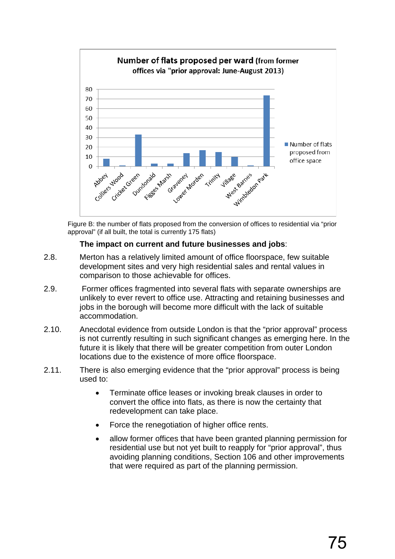

Figure B: the number of flats proposed from the conversion of offices to residential via "prior approval" (if all built, the total is currently 175 flats)

#### **The impact on current and future businesses and jobs**:

- 2.8. Merton has a relatively limited amount of office floorspace, few suitable development sites and very high residential sales and rental values in comparison to those achievable for offices.
- 2.9. Former offices fragmented into several flats with separate ownerships are unlikely to ever revert to office use. Attracting and retaining businesses and jobs in the borough will become more difficult with the lack of suitable accommodation.
- 2.10. Anecdotal evidence from outside London is that the "prior approval" process is not currently resulting in such significant changes as emerging here. In the future it is likely that there will be greater competition from outer London locations due to the existence of more office floorspace.
- 2.11. There is also emerging evidence that the "prior approval" process is being used to:
	- Terminate office leases or invoking break clauses in order to convert the office into flats, as there is now the certainty that redevelopment can take place.
	- Force the renegotiation of higher office rents.
	- allow former offices that have been granted planning permission for residential use but not yet built to reapply for "prior approval", thus avoiding planning conditions, Section 106 and other improvements that were required as part of the planning permission.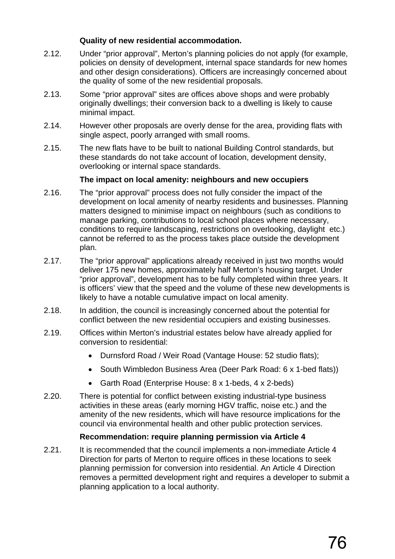#### **Quality of new residential accommodation.**

- 2.12. Under "prior approval", Merton's planning policies do not apply (for example, policies on density of development, internal space standards for new homes and other design considerations). Officers are increasingly concerned about the quality of some of the new residential proposals.
- 2.13. Some "prior approval" sites are offices above shops and were probably originally dwellings; their conversion back to a dwelling is likely to cause minimal impact.
- 2.14. However other proposals are overly dense for the area, providing flats with single aspect, poorly arranged with small rooms.
- 2.15. The new flats have to be built to national Building Control standards, but these standards do not take account of location, development density, overlooking or internal space standards.

#### **The impact on local amenity: neighbours and new occupiers**

- 2.16. The "prior approval" process does not fully consider the impact of the development on local amenity of nearby residents and businesses. Planning matters designed to minimise impact on neighbours (such as conditions to manage parking, contributions to local school places where necessary, conditions to require landscaping, restrictions on overlooking, daylight etc.) cannot be referred to as the process takes place outside the development plan.
- 2.17. The "prior approval" applications already received in just two months would deliver 175 new homes, approximately half Merton's housing target. Under "prior approval", development has to be fully completed within three years. It is officers' view that the speed and the volume of these new developments is likely to have a notable cumulative impact on local amenity.
- 2.18. In addition, the council is increasingly concerned about the potential for conflict between the new residential occupiers and existing businesses.
- 2.19. Offices within Merton's industrial estates below have already applied for conversion to residential:
	- Durnsford Road / Weir Road (Vantage House: 52 studio flats);
	- South Wimbledon Business Area (Deer Park Road: 6 x 1-bed flats))
	- Garth Road (Enterprise House: 8 x 1-beds, 4 x 2-beds)
- 2.20. There is potential for conflict between existing industrial-type business activities in these areas (early morning HGV traffic, noise etc.) and the amenity of the new residents, which will have resource implications for the council via environmental health and other public protection services.

#### **Recommendation: require planning permission via Article 4**

2.21. It is recommended that the council implements a non-immediate Article 4 Direction for parts of Merton to require offices in these locations to seek planning permission for conversion into residential. An Article 4 Direction removes a permitted development right and requires a developer to submit a planning application to a local authority.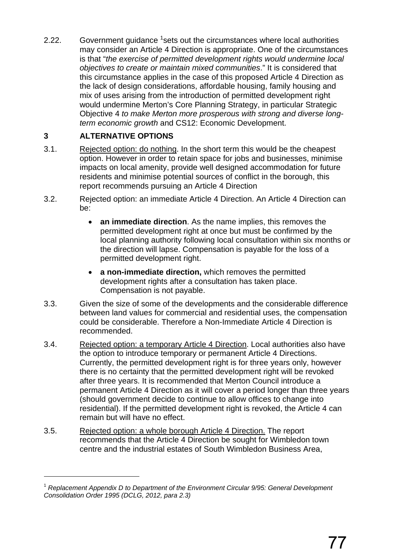2.22. Government guidance <sup>1</sup>sets out the circumstances where local authorities may consider an Article 4 Direction is appropriate. One of the circumstances is that "*the exercise of permitted development rights would undermine local objectives to create or maintain mixed communities*." It is considered that this circumstance applies in the case of this proposed Article 4 Direction as the lack of design considerations, affordable housing, family housing and mix of uses arising from the introduction of permitted development right would undermine Merton's Core Planning Strategy, in particular Strategic Objective 4 *to make Merton more prosperous with strong and diverse longterm economic growth* and CS12: Economic Development.

#### **3 ALTERNATIVE OPTIONS**

 $\overline{a}$ 

- 3.1. Rejected option: do nothing. In the short term this would be the cheapest option. However in order to retain space for jobs and businesses, minimise impacts on local amenity, provide well designed accommodation for future residents and minimise potential sources of conflict in the borough, this report recommends pursuing an Article 4 Direction
- 3.2. Rejected option: an immediate Article 4 Direction. An Article 4 Direction can be:
	- **an immediate direction**. As the name implies, this removes the permitted development right at once but must be confirmed by the local planning authority following local consultation within six months or the direction will lapse. Compensation is payable for the loss of a permitted development right.
	- **a non-immediate direction,** which removes the permitted development rights after a consultation has taken place. Compensation is not payable.
- 3.3. Given the size of some of the developments and the considerable difference between land values for commercial and residential uses, the compensation could be considerable. Therefore a Non-Immediate Article 4 Direction is recommended.
- 3.4. Rejected option: a temporary Article 4 Direction. Local authorities also have the option to introduce temporary or permanent Article 4 Directions. Currently, the permitted development right is for three years only, however there is no certainty that the permitted development right will be revoked after three years. It is recommended that Merton Council introduce a permanent Article 4 Direction as it will cover a period longer than three years (should government decide to continue to allow offices to change into residential). If the permitted development right is revoked, the Article 4 can remain but will have no effect.
- 3.5. Rejected option: a whole borough Article 4 Direction. The report recommends that the Article 4 Direction be sought for Wimbledon town centre and the industrial estates of South Wimbledon Business Area,

<sup>1</sup> *Replacement Appendix D to Department of the Environment Circular 9/95: General Development Consolidation Order 1995 (DCLG, 2012, para 2.3)*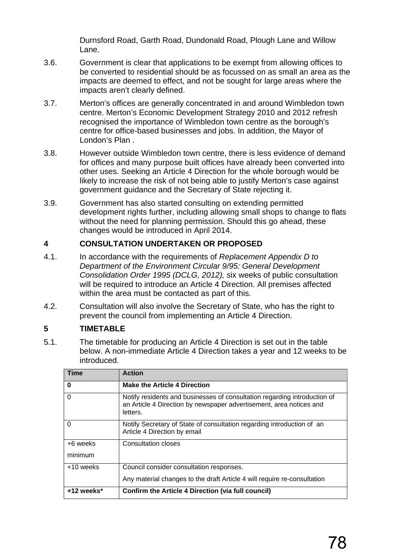Durnsford Road, Garth Road, Dundonald Road, Plough Lane and Willow Lane.

- 3.6. Government is clear that applications to be exempt from allowing offices to be converted to residential should be as focussed on as small an area as the impacts are deemed to effect, and not be sought for large areas where the impacts aren't clearly defined.
- 3.7. Merton's offices are generally concentrated in and around Wimbledon town centre. Merton's Economic Development Strategy 2010 and 2012 refresh recognised the importance of Wimbledon town centre as the borough's centre for office-based businesses and jobs. In addition, the Mayor of London's Plan .
- 3.8. However outside Wimbledon town centre, there is less evidence of demand for offices and many purpose built offices have already been converted into other uses. Seeking an Article 4 Direction for the whole borough would be likely to increase the risk of not being able to justify Merton's case against government guidance and the Secretary of State rejecting it.
- 3.9. Government has also started consulting on extending permitted development rights further, including allowing small shops to change to flats without the need for planning permission. Should this go ahead, these changes would be introduced in April 2014.

#### **4 CONSULTATION UNDERTAKEN OR PROPOSED**

- 4.1. In accordance with the requirements of *Replacement Appendix D to Department of the Environment Circular 9/95: General Development Consolidation Order 1995 (DCLG, 2012), s*ix weeks of public consultation will be required to introduce an Article 4 Direction. All premises affected within the area must be contacted as part of this.
- 4.2. Consultation will also involve the Secretary of State, who has the right to prevent the council from implementing an Article 4 Direction.

#### **5 TIMETABLE**

5.1. The timetable for producing an Article 4 Direction is set out in the table below. A non-immediate Article 4 Direction takes a year and 12 weeks to be introduced.

| <b>Time</b>         | <b>Action</b>                                                                                                                                                |
|---------------------|--------------------------------------------------------------------------------------------------------------------------------------------------------------|
| 0                   | <b>Make the Article 4 Direction</b>                                                                                                                          |
| $\Omega$            | Notify residents and businesses of consultation regarding introduction of<br>an Article 4 Direction by newspaper advertisement, area notices and<br>letters. |
| 0                   | Notify Secretary of State of consultation regarding introduction of an<br>Article 4 Direction by email                                                       |
| +6 weeks<br>minimum | <b>Consultation closes</b>                                                                                                                                   |
| $+10$ weeks         | Council consider consultation responses.                                                                                                                     |
|                     | Any material changes to the draft Article 4 will require re-consultation                                                                                     |
| $+12$ weeks*        | <b>Confirm the Article 4 Direction (via full council)</b>                                                                                                    |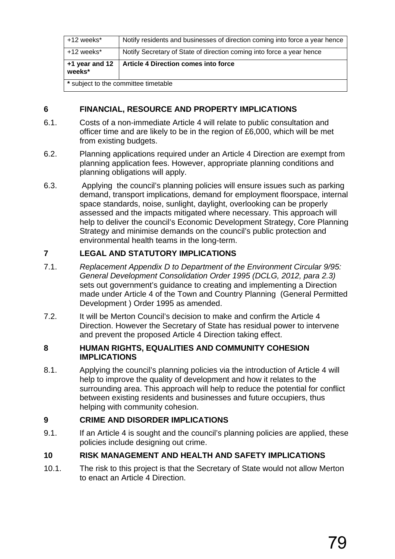| +12 weeks*     | Notify residents and businesses of direction coming into force a year hence |
|----------------|-----------------------------------------------------------------------------|
| +12 weeks*     | Notify Secretary of State of direction coming into force a year hence       |
| +1 year and 12 | Article 4 Direction comes into force                                        |
| weeks*         |                                                                             |

#### **6 FINANCIAL, RESOURCE AND PROPERTY IMPLICATIONS**

- 6.1. Costs of a non-immediate Article 4 will relate to public consultation and officer time and are likely to be in the region of £6,000, which will be met from existing budgets.
- 6.2. Planning applications required under an Article 4 Direction are exempt from planning application fees. However, appropriate planning conditions and planning obligations will apply.
- 6.3. Applying the council's planning policies will ensure issues such as parking demand, transport implications, demand for employment floorspace, internal space standards, noise, sunlight, daylight, overlooking can be properly assessed and the impacts mitigated where necessary. This approach will help to deliver the council's Economic Development Strategy, Core Planning Strategy and minimise demands on the council's public protection and environmental health teams in the long-term.

## **7 LEGAL AND STATUTORY IMPLICATIONS**

- 7.1. *Replacement Appendix D to Department of the Environment Circular 9/95: General Development Consolidation Order 1995 (DCLG, 2012, para 2.3)*  sets out government's guidance to creating and implementing a Direction made under Article 4 of the Town and Country Planning (General Permitted Development ) Order 1995 as amended.
- 7.2. It will be Merton Council's decision to make and confirm the Article 4 Direction. However the Secretary of State has residual power to intervene and prevent the proposed Article 4 Direction taking effect.

#### **8 HUMAN RIGHTS, EQUALITIES AND COMMUNITY COHESION IMPLICATIONS**

8.1. Applying the council's planning policies via the introduction of Article 4 will help to improve the quality of development and how it relates to the surrounding area. This approach will help to reduce the potential for conflict between existing residents and businesses and future occupiers, thus helping with community cohesion.

## **9 CRIME AND DISORDER IMPLICATIONS**

9.1. If an Article 4 is sought and the council's planning policies are applied, these policies include designing out crime.

## **10 RISK MANAGEMENT AND HEALTH AND SAFETY IMPLICATIONS**

10.1. The risk to this project is that the Secretary of State would not allow Merton to enact an Article 4 Direction.